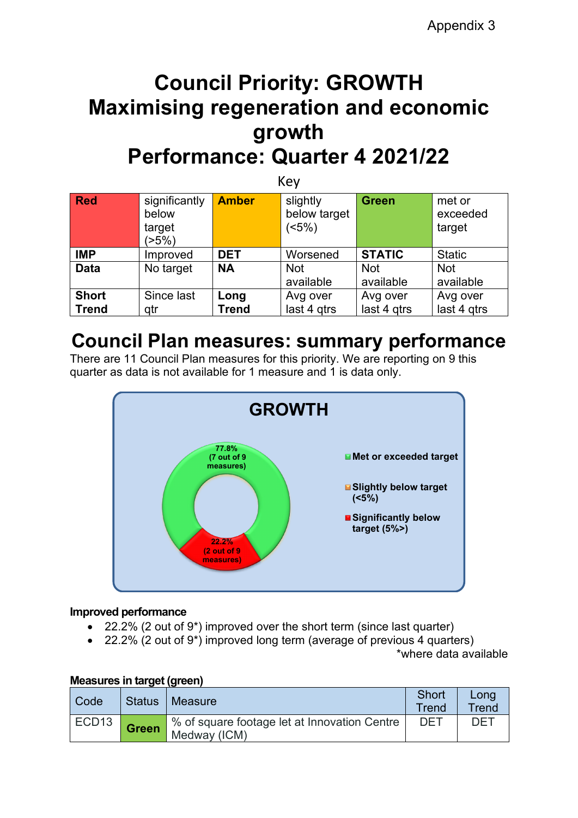# **Council Priority: GROWTH Maximising regeneration and economic growth Performance: Quarter 4 2021/22**

| Key          |                                           |              |                                  |                         |                              |
|--------------|-------------------------------------------|--------------|----------------------------------|-------------------------|------------------------------|
| <b>Red</b>   | significantly<br>below<br>target<br>(>5%) | <b>Amber</b> | slightly<br>below target<br>(5%) | <b>Green</b>            | met or<br>exceeded<br>target |
| <b>IMP</b>   | Improved                                  | <b>DET</b>   | Worsened                         | <b>STATIC</b>           | <b>Static</b>                |
| <b>Data</b>  | No target                                 | <b>NA</b>    | <b>Not</b><br>available          | <b>Not</b><br>available | <b>Not</b><br>available      |
| <b>Short</b> | Since last                                | Long         | Avg over                         | Avg over                | Avg over                     |
| <b>Trend</b> | qtr                                       | <b>Trend</b> | last 4 gtrs                      | last 4 gtrs             | last 4 gtrs                  |

# **Council Plan measures: summary performance**

There are 11 Council Plan measures for this priority. We are reporting on 9 this quarter as data is not available for 1 measure and 1 is data only.



#### **Improved performance**

- 22.2% (2 out of 9\*) improved over the short term (since last quarter)
- 22.2% (2 out of 9\*) improved long term (average of previous 4 quarters) \*where data available

|                   | <u>MCASULES III LALYEL (YIEEII)</u> |                                                              |                |               |  |
|-------------------|-------------------------------------|--------------------------------------------------------------|----------------|---------------|--|
| Code              | <b>Status</b>                       | I Measure                                                    | Short<br>Trend | Long<br>Trend |  |
| ECD <sub>13</sub> | <b>Green</b>                        | % of square footage let at Innovation Centre<br>Medway (ICM) | <b>DET</b>     | DFT           |  |

#### **Measures in target (green)**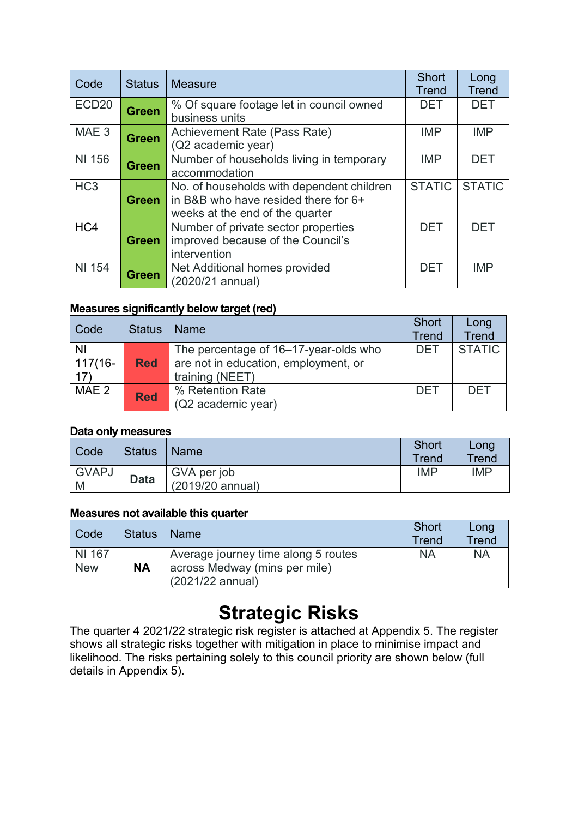| Code              | <b>Status</b> | <b>Measure</b>                            | <b>Short</b>  | Long          |
|-------------------|---------------|-------------------------------------------|---------------|---------------|
|                   |               |                                           | Trend         | <b>Trend</b>  |
| ECD <sub>20</sub> | <b>Green</b>  | % Of square footage let in council owned  | <b>DET</b>    | <b>DET</b>    |
|                   |               | business units                            |               |               |
| MAE <sub>3</sub>  | <b>Green</b>  | Achievement Rate (Pass Rate)              | <b>IMP</b>    | <b>IMP</b>    |
|                   |               | (Q2 academic year)                        |               |               |
| NI 156            | <b>Green</b>  | Number of households living in temporary  | <b>IMP</b>    | <b>DET</b>    |
|                   |               | accommodation                             |               |               |
| HC <sub>3</sub>   |               | No. of households with dependent children | <b>STATIC</b> | <b>STATIC</b> |
|                   | <b>Green</b>  | in B&B who have resided there for 6+      |               |               |
|                   |               | weeks at the end of the quarter           |               |               |
| HC4               |               | Number of private sector properties       | <b>DET</b>    | <b>DET</b>    |
|                   | <b>Green</b>  | improved because of the Council's         |               |               |
|                   |               | intervention                              |               |               |
| <b>NI 154</b>     | <b>Green</b>  | Net Additional homes provided             | <b>DET</b>    | <b>IMP</b>    |
|                   |               | (2020/21 annual)                          |               |               |

#### **Measures significantly below target (red)**

| Code                    | <b>Status</b> | <b>Name</b>                                                                                      | <b>Short</b><br><b>Trend</b> | Long<br><b>Trend</b> |
|-------------------------|---------------|--------------------------------------------------------------------------------------------------|------------------------------|----------------------|
| ΝI<br>$117(16 -$<br>17) | <b>Red</b>    | The percentage of 16-17-year-olds who<br>are not in education, employment, or<br>training (NEET) | DET                          | <b>STATIC</b>        |
| MAE 2                   | <b>Red</b>    | % Retention Rate<br>(Q2 academic year)                                                           | <b>DET</b>                   | <b>DET</b>           |

#### **Data only measures**

| Code              | <b>Status</b> | <b>Name</b>                     | Short<br><b>Trend</b> | Long<br><b>Trend</b> |
|-------------------|---------------|---------------------------------|-----------------------|----------------------|
| <b>GVAPJ</b><br>M | <b>Data</b>   | GVA per job<br>(2019/20 annual) | <b>IMP</b>            | <b>IMP</b>           |

#### **Measures not available this quarter**

| ' Code     | <b>Status</b> | <b>Name</b>                                       | <b>Short</b><br>Trend | Long<br>Trend |
|------------|---------------|---------------------------------------------------|-----------------------|---------------|
| NI 167     |               | Average journey time along 5 routes               | <b>NA</b>             | <b>NA</b>     |
| <b>New</b> | <b>NA</b>     | across Medway (mins per mile)<br>(2021/22 annual) |                       |               |

# **Strategic Risks**

The quarter 4 2021/22 strategic risk register is attached at Appendix 5. The register shows all strategic risks together with mitigation in place to minimise impact and likelihood. The risks pertaining solely to this council priority are shown below (full details in Appendix 5).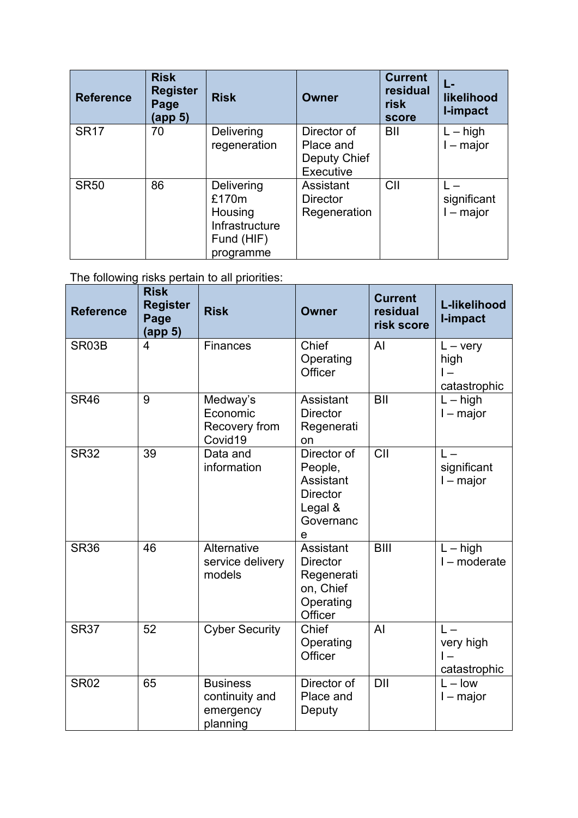| <b>Reference</b> | <b>Risk</b><br><b>Register</b><br>Page<br>(app 5) | <b>Risk</b>                                                                 | <b>Owner</b>                                          | <b>Current</b><br>residual<br>risk<br>score | likelihood<br>I-impact     |
|------------------|---------------------------------------------------|-----------------------------------------------------------------------------|-------------------------------------------------------|---------------------------------------------|----------------------------|
| <b>SR17</b>      | 70                                                | Delivering<br>regeneration                                                  | Director of<br>Place and<br>Deputy Chief<br>Executive | BII                                         | $L - high$<br>$I -$ major  |
| <b>SR50</b>      | 86                                                | Delivering<br>£170m<br>Housing<br>Infrastructure<br>Fund (HIF)<br>programme | Assistant<br><b>Director</b><br>Regeneration          | CII                                         | significant<br>$l$ – major |

The following risks pertain to all priorities:

| <b>Reference</b> | <b>Risk</b><br><b>Register</b><br>Page<br>(app 5) | <b>Risk</b>                                                | <b>Owner</b>                                                                                  | <b>Current</b><br>residual<br>risk score | L-likelihood<br>I-impact                                      |
|------------------|---------------------------------------------------|------------------------------------------------------------|-----------------------------------------------------------------------------------------------|------------------------------------------|---------------------------------------------------------------|
| SR03B            | $\overline{4}$                                    | Finances                                                   | Chief<br>Operating<br>Officer                                                                 | AI                                       | $L - \text{very}$<br>high<br>$\overline{1}$ –<br>catastrophic |
| <b>SR46</b>      | 9                                                 | Medway's<br>Economic<br>Recovery from<br>Covid19           | Assistant<br><b>Director</b><br>Regenerati<br>on                                              | BII                                      | $L - high$<br>$I - major$                                     |
| <b>SR32</b>      | 39                                                | Data and<br>information                                    | Director of<br>People,<br>Assistant<br><b>Director</b><br>Legal &<br>Governanc<br>$\mathbf e$ | $\overline{C}$                           | $L -$<br>significant<br>$I$ – major                           |
| <b>SR36</b>      | 46                                                | Alternative<br>service delivery<br>models                  | Assistant<br><b>Director</b><br>Regenerati<br>on, Chief<br>Operating<br>Officer               | <b>BIII</b>                              | $L - high$<br>$I$ – moderate                                  |
| <b>SR37</b>      | 52                                                | <b>Cyber Security</b>                                      | Chief<br>Operating<br>Officer                                                                 | AI                                       | $L -$<br>very high<br>catastrophic                            |
| <b>SR02</b>      | 65                                                | <b>Business</b><br>continuity and<br>emergency<br>planning | Director of<br>Place and<br>Deputy                                                            | <b>DII</b>                               | $L - low$<br>$I$ – major                                      |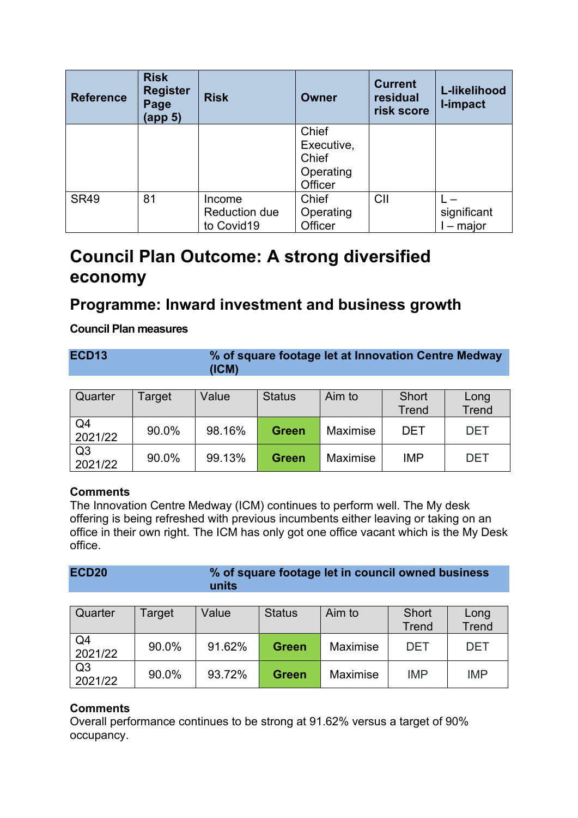| <b>Reference</b> | <b>Risk</b><br><b>Register</b><br>Page<br>(app 5) | <b>Risk</b>                                  | Owner                                                | <b>Current</b><br>residual<br>risk score | L-likelihood<br><b>I-impact</b> |
|------------------|---------------------------------------------------|----------------------------------------------|------------------------------------------------------|------------------------------------------|---------------------------------|
|                  |                                                   |                                              | Chief<br>Executive,<br>Chief<br>Operating<br>Officer |                                          |                                 |
| <b>SR49</b>      | 81                                                | Income<br><b>Reduction due</b><br>to Covid19 | Chief<br>Operating<br>Officer                        | CII                                      | significant<br>$-$ major        |

# **Council Plan Outcome: A strong diversified economy**

### **Programme: Inward investment and business growth**

#### **Council Plan measures**

| ECD <sub>13</sub> | % of square footage let at Innovation Centre Medway<br>(ICM) |
|-------------------|--------------------------------------------------------------|
|                   |                                                              |

| Quarter                   | Target | Value  | <b>Status</b> | Aim to   | Short<br><b>Trend</b> | Long<br><b>Trend</b> |
|---------------------------|--------|--------|---------------|----------|-----------------------|----------------------|
| Q <sub>4</sub><br>2021/22 | 90.0%  | 98.16% | <b>Green</b>  | Maximise | DET                   | <b>DET</b>           |
| Q <sub>3</sub><br>2021/22 | 90.0%  | 99.13% | <b>Green</b>  | Maximise | <b>IMP</b>            | <b>DET</b>           |

#### **Comments**

The Innovation Centre Medway (ICM) continues to perform well. The My desk offering is being refreshed with previous incumbents either leaving or taking on an office in their own right. The ICM has only got one office vacant which is the My Desk office.

| ECD <sub>20</sub> | % of square footage let in council owned business |
|-------------------|---------------------------------------------------|
|                   | units                                             |

| Quarter                   | Target | Value  | <b>Status</b> | Aim to          | Short<br><b>Trend</b> | Long<br><b>Trend</b> |
|---------------------------|--------|--------|---------------|-----------------|-----------------------|----------------------|
| Q4<br>2021/22             | 90.0%  | 91.62% | <b>Green</b>  | Maximise        | <b>DET</b>            | DET                  |
| Q <sub>3</sub><br>2021/22 | 90.0%  | 93.72% | <b>Green</b>  | <b>Maximise</b> | <b>IMP</b>            | <b>IMP</b>           |

#### **Comments**

Overall performance continues to be strong at 91.62% versus a target of 90% occupancy.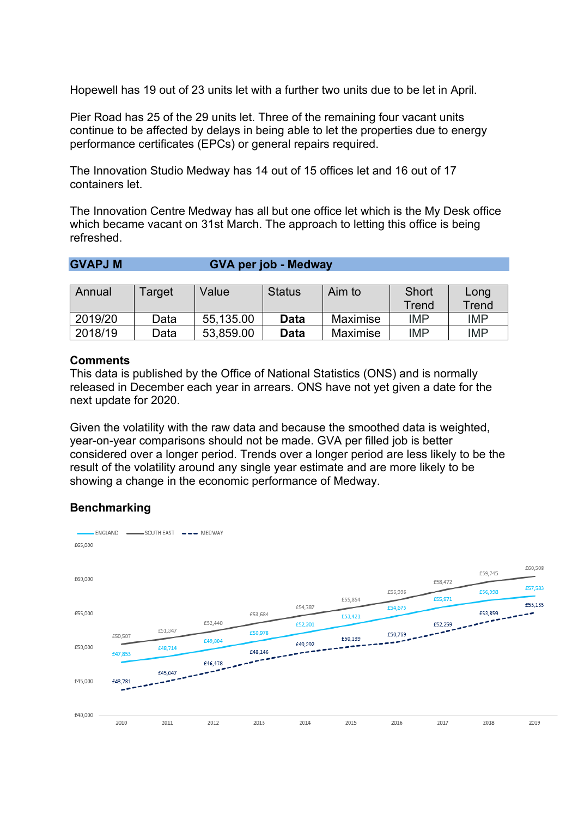Hopewell has 19 out of 23 units let with a further two units due to be let in April.

Pier Road has 25 of the 29 units let. Three of the remaining four vacant units continue to be affected by delays in being able to let the properties due to energy performance certificates (EPCs) or general repairs required.

The Innovation Studio Medway has 14 out of 15 offices let and 16 out of 17 containers let.

**GVAPJ M GVA per job - Medway**

The Innovation Centre Medway has all but one office let which is the My Desk office which became vacant on 31st March. The approach to letting this office is being refreshed.

| Annual  | Target | Value     | <b>Status</b> | Aim to          | Short      | Long       |
|---------|--------|-----------|---------------|-----------------|------------|------------|
|         |        |           |               |                 | Trend      | Trend      |
| 2019/20 | Data   | 55,135.00 | <b>Data</b>   | Maximise        | <b>IMP</b> | <b>IMP</b> |
| 2018/19 | Data   | 53,859.00 | Data          | <b>Maximise</b> | <b>IMP</b> | <b>IMP</b> |

#### **Comments**

This data is published by the Office of National Statistics (ONS) and is normally released in December each year in arrears. ONS have not yet given a date for the next update for 2020.

Given the volatility with the raw data and because the smoothed data is weighted, year-on-year comparisons should not be made. GVA per filled job is better considered over a longer period. Trends over a longer period are less likely to be the result of the volatility around any single year estimate and are more likely to be showing a change in the economic performance of Medway.

#### **Benchmarking**

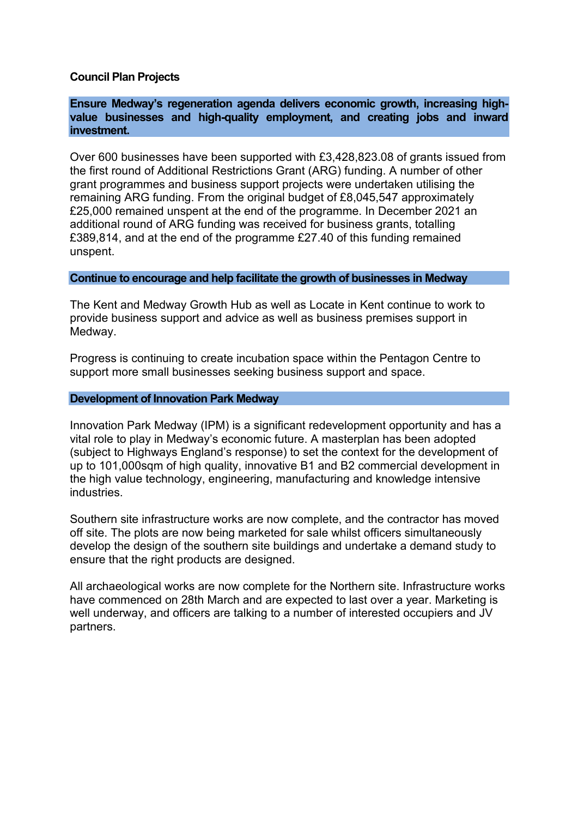#### **Council Plan Projects**

#### **Ensure Medway's regeneration agenda delivers economic growth, increasing highvalue businesses and high-quality employment, and creating jobs and inward investment.**

Over 600 businesses have been supported with £3,428,823.08 of grants issued from the first round of Additional Restrictions Grant (ARG) funding. A number of other grant programmes and business support projects were undertaken utilising the remaining ARG funding. From the original budget of £8,045,547 approximately £25,000 remained unspent at the end of the programme. In December 2021 an additional round of ARG funding was received for business grants, totalling £389,814, and at the end of the programme £27.40 of this funding remained unspent.

#### **Continue to encourage and help facilitate the growth of businesses in Medway**

The Kent and Medway Growth Hub as well as Locate in Kent continue to work to provide business support and advice as well as business premises support in Medway.

Progress is continuing to create incubation space within the Pentagon Centre to support more small businesses seeking business support and space.

#### **Development of Innovation Park Medway**

Innovation Park Medway (IPM) is a significant redevelopment opportunity and has a vital role to play in Medway's economic future. A masterplan has been adopted (subject to Highways England's response) to set the context for the development of up to 101,000sqm of high quality, innovative B1 and B2 commercial development in the high value technology, engineering, manufacturing and knowledge intensive industries.

Southern site infrastructure works are now complete, and the contractor has moved off site. The plots are now being marketed for sale whilst officers simultaneously develop the design of the southern site buildings and undertake a demand study to ensure that the right products are designed.

All archaeological works are now complete for the Northern site. Infrastructure works have commenced on 28th March and are expected to last over a year. Marketing is well underway, and officers are talking to a number of interested occupiers and JV partners.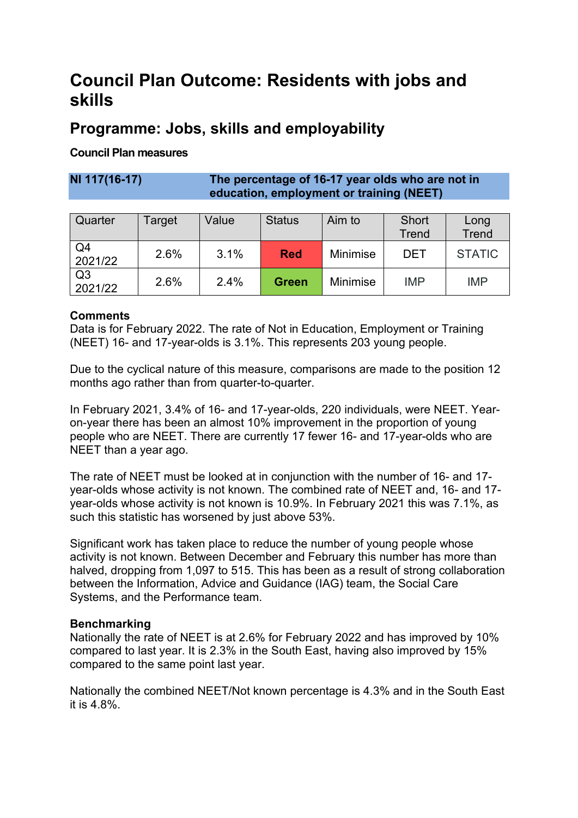## **Council Plan Outcome: Residents with jobs and skills**

## **Programme: Jobs, skills and employability**

#### **Council Plan measures**

#### **NI 117(16-17) The percentage of 16-17 year olds who are not in education, employment or training (NEET)**

| Quarter                   | Гarget | Value | <b>Status</b> | Aim to          | <b>Short</b><br><b>Trend</b> | Long<br><b>Trend</b> |
|---------------------------|--------|-------|---------------|-----------------|------------------------------|----------------------|
| Q4<br>2021/22             | 2.6%   | 3.1%  | <b>Red</b>    | <b>Minimise</b> | DET                          | <b>STATIC</b>        |
| Q <sub>3</sub><br>2021/22 | 2.6%   | 2.4%  | <b>Green</b>  | <b>Minimise</b> | <b>IMP</b>                   | <b>IMP</b>           |

#### **Comments**

Data is for February 2022. The rate of Not in Education, Employment or Training (NEET) 16- and 17-year-olds is 3.1%. This represents 203 young people.

Due to the cyclical nature of this measure, comparisons are made to the position 12 months ago rather than from quarter-to-quarter.

In February 2021, 3.4% of 16- and 17-year-olds, 220 individuals, were NEET. Yearon-year there has been an almost 10% improvement in the proportion of young people who are NEET. There are currently 17 fewer 16- and 17-year-olds who are NEET than a year ago.

The rate of NEET must be looked at in conjunction with the number of 16- and 17 year-olds whose activity is not known. The combined rate of NEET and, 16- and 17 year-olds whose activity is not known is 10.9%. In February 2021 this was 7.1%, as such this statistic has worsened by just above 53%.

Significant work has taken place to reduce the number of young people whose activity is not known. Between December and February this number has more than halved, dropping from 1,097 to 515. This has been as a result of strong collaboration between the Information, Advice and Guidance (IAG) team, the Social Care Systems, and the Performance team.

#### **Benchmarking**

Nationally the rate of NEET is at 2.6% for February 2022 and has improved by 10% compared to last year. It is 2.3% in the South East, having also improved by 15% compared to the same point last year.

Nationally the combined NEET/Not known percentage is 4.3% and in the South East it is 4.8%.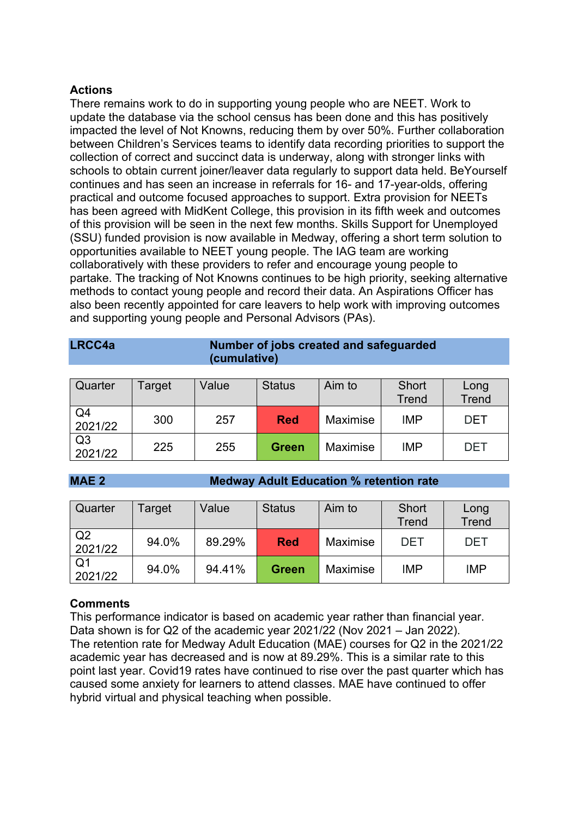#### **Actions**

There remains work to do in supporting young people who are NEET. Work to update the database via the school census has been done and this has positively impacted the level of Not Knowns, reducing them by over 50%. Further collaboration between Children's Services teams to identify data recording priorities to support the collection of correct and succinct data is underway, along with stronger links with schools to obtain current joiner/leaver data regularly to support data held. BeYourself continues and has seen an increase in referrals for 16- and 17-year-olds, offering practical and outcome focused approaches to support. Extra provision for NEETs has been agreed with MidKent College, this provision in its fifth week and outcomes of this provision will be seen in the next few months. Skills Support for Unemployed (SSU) funded provision is now available in Medway, offering a short term solution to opportunities available to NEET young people. The IAG team are working collaboratively with these providers to refer and encourage young people to partake. The tracking of Not Knowns continues to be high priority, seeking alternative methods to contact young people and record their data. An Aspirations Officer has also been recently appointed for care leavers to help work with improving outcomes and supporting young people and Personal Advisors (PAs).

|                | (cumulative) |       |               |                 |              |              |  |  |  |  |
|----------------|--------------|-------|---------------|-----------------|--------------|--------------|--|--|--|--|
|                |              |       |               |                 |              |              |  |  |  |  |
| Quarter        | Target       | Value | <b>Status</b> | Aim to          | Short        | Long         |  |  |  |  |
|                |              |       |               |                 | <b>Trend</b> | <b>Trend</b> |  |  |  |  |
| Q4             |              |       |               |                 |              |              |  |  |  |  |
| 2021/22        | 300          | 257   | <b>Red</b>    | Maximise        | <b>IMP</b>   | <b>DET</b>   |  |  |  |  |
| Q <sub>3</sub> |              |       |               |                 |              |              |  |  |  |  |
| 2021/22        | 225          | 255   | <b>Green</b>  | <b>Maximise</b> | <b>IMP</b>   | <b>DET</b>   |  |  |  |  |

**LRCC4a Number of jobs created and safeguarded** 

#### **MAE 2 Medway Adult Education % retention rate**

| Quarter                   | Target | Value  | <b>Status</b> | Aim to          | Short<br><b>Trend</b> | Long<br><b>Trend</b> |
|---------------------------|--------|--------|---------------|-----------------|-----------------------|----------------------|
| Q2<br>2021/22             | 94.0%  | 89.29% | <b>Red</b>    | Maximise        | DET                   | <b>DET</b>           |
| Q <sub>1</sub><br>2021/22 | 94.0%  | 94.41% | <b>Green</b>  | <b>Maximise</b> | <b>IMP</b>            | <b>IMP</b>           |

#### **Comments**

This performance indicator is based on academic year rather than financial year. Data shown is for Q2 of the academic year 2021/22 (Nov 2021 – Jan 2022). The retention rate for Medway Adult Education (MAE) courses for Q2 in the 2021/22 academic year has decreased and is now at 89.29%. This is a similar rate to this point last year. Covid19 rates have continued to rise over the past quarter which has caused some anxiety for learners to attend classes. MAE have continued to offer hybrid virtual and physical teaching when possible.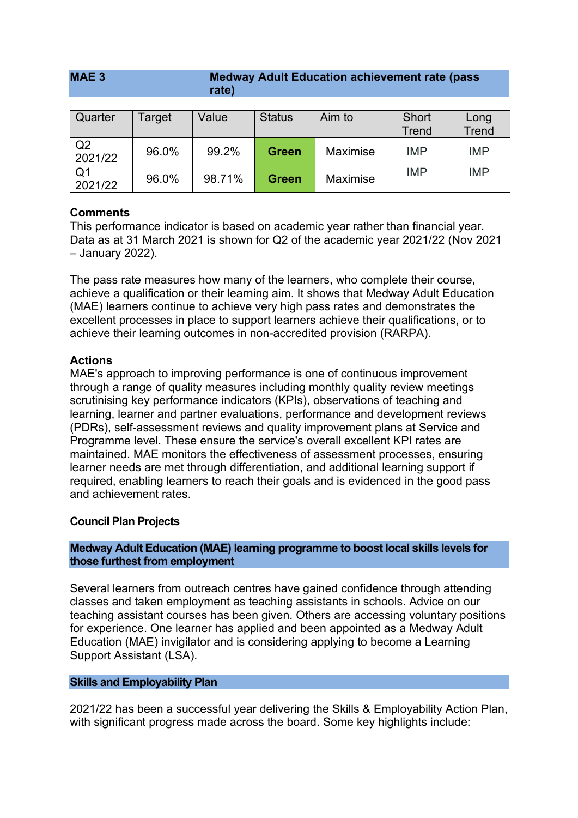#### **MAE 3 Medway Adult Education achievement rate (pass rate)**

| Quarter                   | Target | Value  | <b>Status</b> | Aim to          | Short<br>Trend | Long<br><b>Trend</b> |
|---------------------------|--------|--------|---------------|-----------------|----------------|----------------------|
| Q2<br>2021/22             | 96.0%  | 99.2%  | <b>Green</b>  | <b>Maximise</b> | <b>IMP</b>     | <b>IMP</b>           |
| Q <sub>1</sub><br>2021/22 | 96.0%  | 98.71% | <b>Green</b>  | <b>Maximise</b> | <b>IMP</b>     | <b>IMP</b>           |

#### **Comments**

This performance indicator is based on academic year rather than financial year. Data as at 31 March 2021 is shown for Q2 of the academic year 2021/22 (Nov 2021 – January 2022).

The pass rate measures how many of the learners, who complete their course, achieve a qualification or their learning aim. It shows that Medway Adult Education (MAE) learners continue to achieve very high pass rates and demonstrates the excellent processes in place to support learners achieve their qualifications, or to achieve their learning outcomes in non-accredited provision (RARPA).

#### **Actions**

MAE's approach to improving performance is one of continuous improvement through a range of quality measures including monthly quality review meetings scrutinising key performance indicators (KPIs), observations of teaching and learning, learner and partner evaluations, performance and development reviews (PDRs), self-assessment reviews and quality improvement plans at Service and Programme level. These ensure the service's overall excellent KPI rates are maintained. MAE monitors the effectiveness of assessment processes, ensuring learner needs are met through differentiation, and additional learning support if required, enabling learners to reach their goals and is evidenced in the good pass and achievement rates.

#### **Council Plan Projects**

#### **Medway Adult Education (MAE) learning programme to boost local skills levels for those furthest from employment**

Several learners from outreach centres have gained confidence through attending classes and taken employment as teaching assistants in schools. Advice on our teaching assistant courses has been given. Others are accessing voluntary positions for experience. One learner has applied and been appointed as a Medway Adult Education (MAE) invigilator and is considering applying to become a Learning Support Assistant (LSA).

#### **Skills and Employability Plan**

2021/22 has been a successful year delivering the Skills & Employability Action Plan, with significant progress made across the board. Some key highlights include: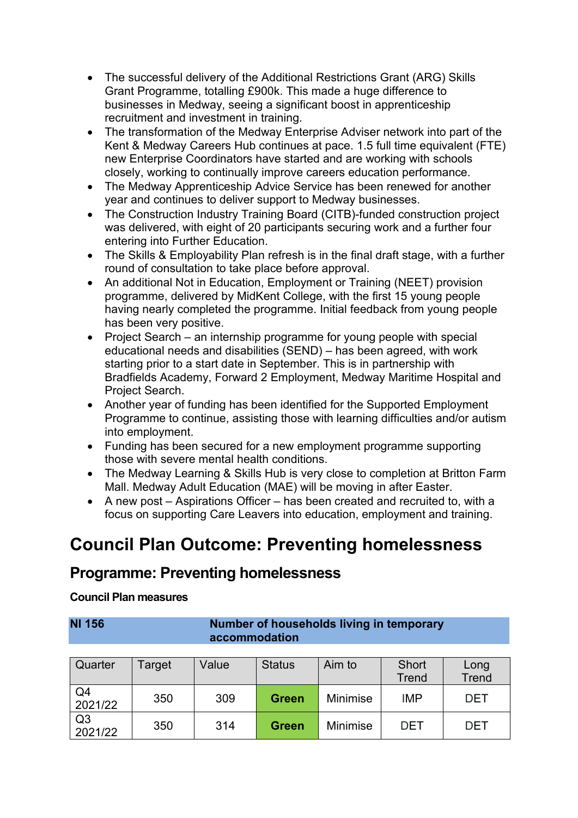- The successful delivery of the Additional Restrictions Grant (ARG) Skills Grant Programme, totalling £900k. This made a huge difference to businesses in Medway, seeing a significant boost in apprenticeship recruitment and investment in training.
- The transformation of the Medway Enterprise Adviser network into part of the Kent & Medway Careers Hub continues at pace. 1.5 full time equivalent (FTE) new Enterprise Coordinators have started and are working with schools closely, working to continually improve careers education performance.
- The Medway Apprenticeship Advice Service has been renewed for another year and continues to deliver support to Medway businesses.
- The Construction Industry Training Board (CITB)-funded construction project was delivered, with eight of 20 participants securing work and a further four entering into Further Education.
- The Skills & Employability Plan refresh is in the final draft stage, with a further round of consultation to take place before approval.
- An additional Not in Education, Employment or Training (NEET) provision programme, delivered by MidKent College, with the first 15 young people having nearly completed the programme. Initial feedback from young people has been very positive.
- Project Search an internship programme for young people with special educational needs and disabilities (SEND) – has been agreed, with work starting prior to a start date in September. This is in partnership with Bradfields Academy, Forward 2 Employment, Medway Maritime Hospital and Project Search.
- Another year of funding has been identified for the Supported Employment Programme to continue, assisting those with learning difficulties and/or autism into employment.
- Funding has been secured for a new employment programme supporting those with severe mental health conditions.
- The Medway Learning & Skills Hub is very close to completion at Britton Farm Mall. Medway Adult Education (MAE) will be moving in after Easter.
- A new post Aspirations Officer has been created and recruited to, with a focus on supporting Care Leavers into education, employment and training.

## **Council Plan Outcome: Preventing homelessness**

### **Programme: Preventing homelessness**

#### **Council Plan measures**

| <b>NI 156</b> | Number of households living in temporary |
|---------------|------------------------------------------|
|               | accommodation                            |

| Quarter                   | Target | Value | <b>Status</b> | Aim to          | Short<br><b>Trend</b> | Long<br><b>Trend</b> |
|---------------------------|--------|-------|---------------|-----------------|-----------------------|----------------------|
| Q4<br>2021/22             | 350    | 309   | <b>Green</b>  | <b>Minimise</b> | <b>IMP</b>            | <b>DET</b>           |
| Q <sub>3</sub><br>2021/22 | 350    | 314   | <b>Green</b>  | <b>Minimise</b> | DET                   | DET                  |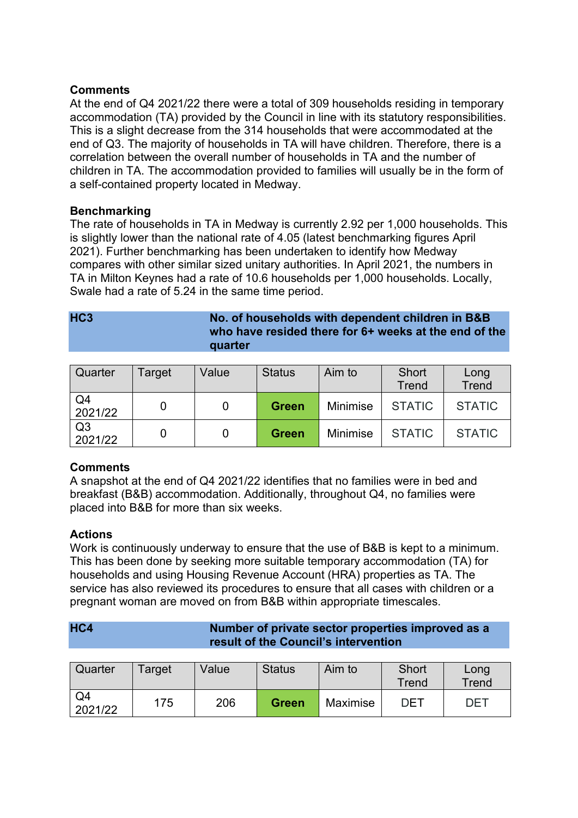#### **Comments**

At the end of Q4 2021/22 there were a total of 309 households residing in temporary accommodation (TA) provided by the Council in line with its statutory responsibilities. This is a slight decrease from the 314 households that were accommodated at the end of Q3. The majority of households in TA will have children. Therefore, there is a correlation between the overall number of households in TA and the number of children in TA. The accommodation provided to families will usually be in the form of a self-contained property located in Medway.

#### **Benchmarking**

The rate of households in TA in Medway is currently 2.92 per 1,000 households. This is slightly lower than the national rate of 4.05 (latest benchmarking figures April 2021). Further benchmarking has been undertaken to identify how Medway compares with other similar sized unitary authorities. In April 2021, the numbers in TA in Milton Keynes had a rate of 10.6 households per 1,000 households. Locally, Swale had a rate of 5.24 in the same time period.

| HC <sub>3</sub> | No. of households with dependent children in B&B<br>who have resided there for 6+ weeks at the end of the<br>quarter |
|-----------------|----------------------------------------------------------------------------------------------------------------------|
|                 |                                                                                                                      |

| Quarter                   | Target | Value | <b>Status</b> | Aim to   | Short<br><b>Trend</b> | Long<br><b>Trend</b> |
|---------------------------|--------|-------|---------------|----------|-----------------------|----------------------|
| Q <sub>4</sub><br>2021/22 |        |       | <b>Green</b>  | Minimise | <b>STATIC</b>         | <b>STATIC</b>        |
| Q <sub>3</sub><br>2021/22 |        |       | <b>Green</b>  | Minimise | <b>STATIC</b>         | <b>STATIC</b>        |

#### **Comments**

A snapshot at the end of Q4 2021/22 identifies that no families were in bed and breakfast (B&B) accommodation. Additionally, throughout Q4, no families were placed into B&B for more than six weeks.

#### **Actions**

Work is continuously underway to ensure that the use of B&B is kept to a minimum. This has been done by seeking more suitable temporary accommodation (TA) for households and using Housing Revenue Account (HRA) properties as TA. The service has also reviewed its procedures to ensure that all cases with children or a pregnant woman are moved on from B&B within appropriate timescales.

#### **HC4 Number of private sector properties improved as a result of the Council's intervention**

| Quarter       | Target | Value | <b>Status</b> | Aim to   | <b>Short</b><br>Trend | Long<br>Trend |
|---------------|--------|-------|---------------|----------|-----------------------|---------------|
| Q4<br>2021/22 | 175    | 206   | <b>Green</b>  | Maximise | <b>DET</b>            | DET           |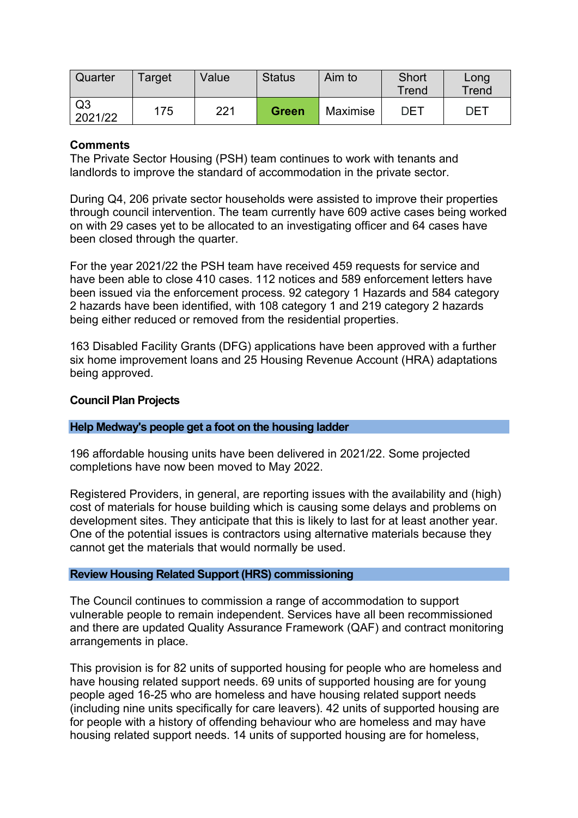| Quarter                   | Target | Value | <b>Status</b> | Aim to   | Short<br>Trend | Long<br>Trend |
|---------------------------|--------|-------|---------------|----------|----------------|---------------|
| Q <sub>3</sub><br>2021/22 | 175    | 221   | <b>Green</b>  | Maximise | DET            | DET           |

#### **Comments**

The Private Sector Housing (PSH) team continues to work with tenants and landlords to improve the standard of accommodation in the private sector.

During Q4, 206 private sector households were assisted to improve their properties through council intervention. The team currently have 609 active cases being worked on with 29 cases yet to be allocated to an investigating officer and 64 cases have been closed through the quarter.

For the year 2021/22 the PSH team have received 459 requests for service and have been able to close 410 cases. 112 notices and 589 enforcement letters have been issued via the enforcement process. 92 category 1 Hazards and 584 category 2 hazards have been identified, with 108 category 1 and 219 category 2 hazards being either reduced or removed from the residential properties.

163 Disabled Facility Grants (DFG) applications have been approved with a further six home improvement loans and 25 Housing Revenue Account (HRA) adaptations being approved.

#### **Council Plan Projects**

#### **Help Medway's people get a foot on the housing ladder**

196 affordable housing units have been delivered in 2021/22. Some projected completions have now been moved to May 2022.

Registered Providers, in general, are reporting issues with the availability and (high) cost of materials for house building which is causing some delays and problems on development sites. They anticipate that this is likely to last for at least another year. One of the potential issues is contractors using alternative materials because they cannot get the materials that would normally be used.

#### **Review Housing Related Support (HRS) commissioning**

The Council continues to commission a range of accommodation to support vulnerable people to remain independent. Services have all been recommissioned and there are updated Quality Assurance Framework (QAF) and contract monitoring arrangements in place.

This provision is for 82 units of supported housing for people who are homeless and have housing related support needs. 69 units of supported housing are for young people aged 16-25 who are homeless and have housing related support needs (including nine units specifically for care leavers). 42 units of supported housing are for people with a history of offending behaviour who are homeless and may have housing related support needs. 14 units of supported housing are for homeless,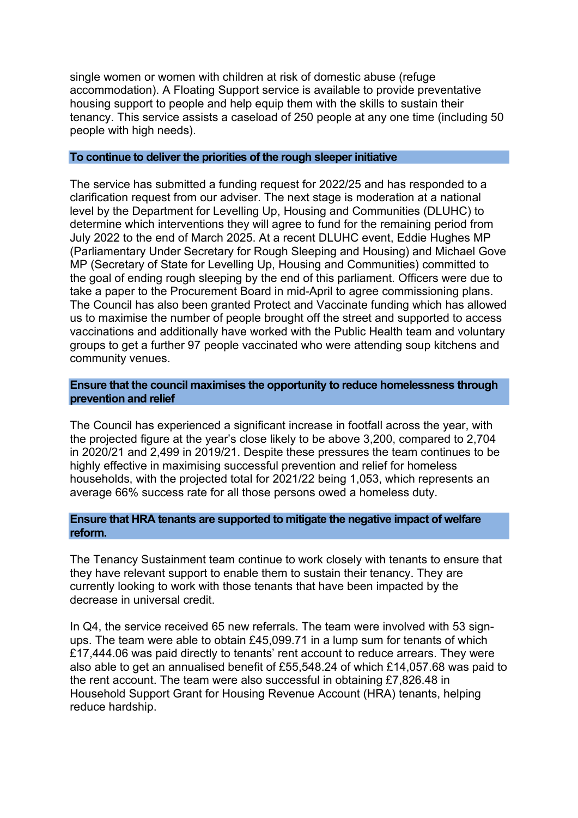single women or women with children at risk of domestic abuse (refuge accommodation). A Floating Support service is available to provide preventative housing support to people and help equip them with the skills to sustain their tenancy. This service assists a caseload of 250 people at any one time (including 50 people with high needs).

#### **To continue to deliver the priorities of the rough sleeper initiative**

The service has submitted a funding request for 2022/25 and has responded to a clarification request from our adviser. The next stage is moderation at a national level by the Department for Levelling Up, Housing and Communities (DLUHC) to determine which interventions they will agree to fund for the remaining period from July 2022 to the end of March 2025. At a recent DLUHC event, Eddie Hughes MP (Parliamentary Under Secretary for Rough Sleeping and Housing) and Michael Gove MP (Secretary of State for Levelling Up, Housing and Communities) committed to the goal of ending rough sleeping by the end of this parliament. Officers were due to take a paper to the Procurement Board in mid-April to agree commissioning plans. The Council has also been granted Protect and Vaccinate funding which has allowed us to maximise the number of people brought off the street and supported to access vaccinations and additionally have worked with the Public Health team and voluntary groups to get a further 97 people vaccinated who were attending soup kitchens and community venues.

#### **Ensure that the council maximises the opportunity to reduce homelessness through prevention and relief**

The Council has experienced a significant increase in footfall across the year, with the projected figure at the year's close likely to be above 3,200, compared to 2,704 in 2020/21 and 2,499 in 2019/21. Despite these pressures the team continues to be highly effective in maximising successful prevention and relief for homeless households, with the projected total for 2021/22 being 1,053, which represents an average 66% success rate for all those persons owed a homeless duty.

#### **Ensure that HRA tenants are supported to mitigate the negative impact of welfare reform.**

The Tenancy Sustainment team continue to work closely with tenants to ensure that they have relevant support to enable them to sustain their tenancy. They are currently looking to work with those tenants that have been impacted by the decrease in universal credit.

In Q4, the service received 65 new referrals. The team were involved with 53 signups. The team were able to obtain £45,099.71 in a lump sum for tenants of which £17,444.06 was paid directly to tenants' rent account to reduce arrears. They were also able to get an annualised benefit of £55,548.24 of which £14,057.68 was paid to the rent account. The team were also successful in obtaining £7,826.48 in Household Support Grant for Housing Revenue Account (HRA) tenants, helping reduce hardship.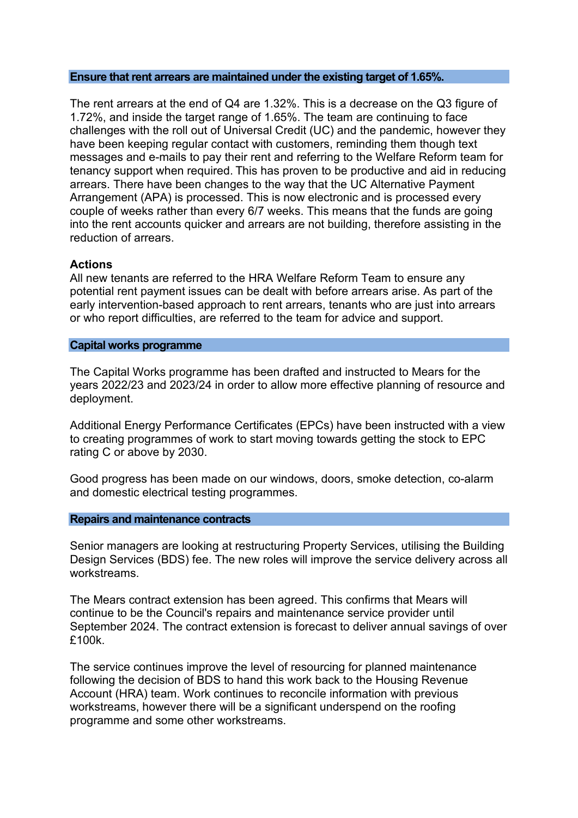#### **Ensure that rent arrears are maintained under the existing target of 1.65%.**

The rent arrears at the end of Q4 are 1.32%. This is a decrease on the Q3 figure of 1.72%, and inside the target range of 1.65%. The team are continuing to face challenges with the roll out of Universal Credit (UC) and the pandemic, however they have been keeping regular contact with customers, reminding them though text messages and e-mails to pay their rent and referring to the Welfare Reform team for tenancy support when required. This has proven to be productive and aid in reducing arrears. There have been changes to the way that the UC Alternative Payment Arrangement (APA) is processed. This is now electronic and is processed every couple of weeks rather than every 6/7 weeks. This means that the funds are going into the rent accounts quicker and arrears are not building, therefore assisting in the reduction of arrears.

#### **Actions**

All new tenants are referred to the HRA Welfare Reform Team to ensure any potential rent payment issues can be dealt with before arrears arise. As part of the early intervention-based approach to rent arrears, tenants who are just into arrears or who report difficulties, are referred to the team for advice and support.

#### **Capital works programme**

The Capital Works programme has been drafted and instructed to Mears for the years 2022/23 and 2023/24 in order to allow more effective planning of resource and deployment.

Additional Energy Performance Certificates (EPCs) have been instructed with a view to creating programmes of work to start moving towards getting the stock to EPC rating C or above by 2030.

Good progress has been made on our windows, doors, smoke detection, co-alarm and domestic electrical testing programmes.

#### **Repairs and maintenance contracts**

Senior managers are looking at restructuring Property Services, utilising the Building Design Services (BDS) fee. The new roles will improve the service delivery across all workstreams.

The Mears contract extension has been agreed. This confirms that Mears will continue to be the Council's repairs and maintenance service provider until September 2024. The contract extension is forecast to deliver annual savings of over £100k.

The service continues improve the level of resourcing for planned maintenance following the decision of BDS to hand this work back to the Housing Revenue Account (HRA) team. Work continues to reconcile information with previous workstreams, however there will be a significant underspend on the roofing programme and some other workstreams.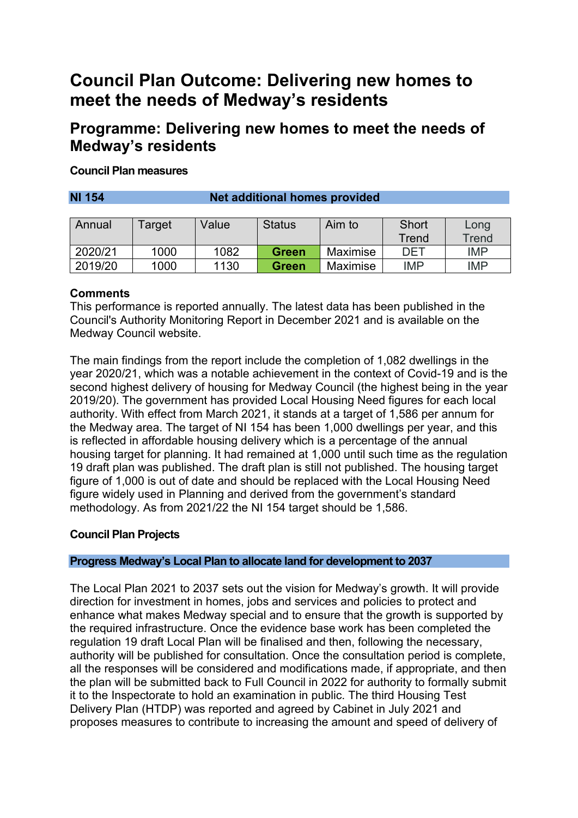## **Council Plan Outcome: Delivering new homes to meet the needs of Medway's residents**

### **Programme: Delivering new homes to meet the needs of Medway's residents**

#### **Council Plan measures**

**NI 154 Net additional homes provided**

| Annual  | <sup>-</sup> arget | Value | <b>Status</b> | Aim to   | Short      | Long       |
|---------|--------------------|-------|---------------|----------|------------|------------|
|         |                    |       |               |          | Trend      | Trend      |
| 2020/21 | 1000               | 1082  | <b>Green</b>  | Maximise | DET        | <b>IMP</b> |
| 2019/20 | 1000               | 1130  | Green         | Maximise | <b>IMP</b> | <b>IMP</b> |

#### **Comments**

This performance is reported annually. The latest data has been published in the Council's Authority Monitoring Report in December 2021 and is available on the Medway Council website.

The main findings from the report include the completion of 1,082 dwellings in the year 2020/21, which was a notable achievement in the context of Covid-19 and is the second highest delivery of housing for Medway Council (the highest being in the year 2019/20). The government has provided Local Housing Need figures for each local authority. With effect from March 2021, it stands at a target of 1,586 per annum for the Medway area. The target of NI 154 has been 1,000 dwellings per year, and this is reflected in affordable housing delivery which is a percentage of the annual housing target for planning. It had remained at 1,000 until such time as the regulation 19 draft plan was published. The draft plan is still not published. The housing target figure of 1,000 is out of date and should be replaced with the Local Housing Need figure widely used in Planning and derived from the government's standard methodology. As from 2021/22 the NI 154 target should be 1,586.

#### **Council Plan Projects**

#### **Progress Medway's Local Plan to allocate land for development to 2037**

The Local Plan 2021 to 2037 sets out the vision for Medway's growth. It will provide direction for investment in homes, jobs and services and policies to protect and enhance what makes Medway special and to ensure that the growth is supported by the required infrastructure. Once the evidence base work has been completed the regulation 19 draft Local Plan will be finalised and then, following the necessary, authority will be published for consultation. Once the consultation period is complete, all the responses will be considered and modifications made, if appropriate, and then the plan will be submitted back to Full Council in 2022 for authority to formally submit it to the Inspectorate to hold an examination in public. The third Housing Test Delivery Plan (HTDP) was reported and agreed by Cabinet in July 2021 and proposes measures to contribute to increasing the amount and speed of delivery of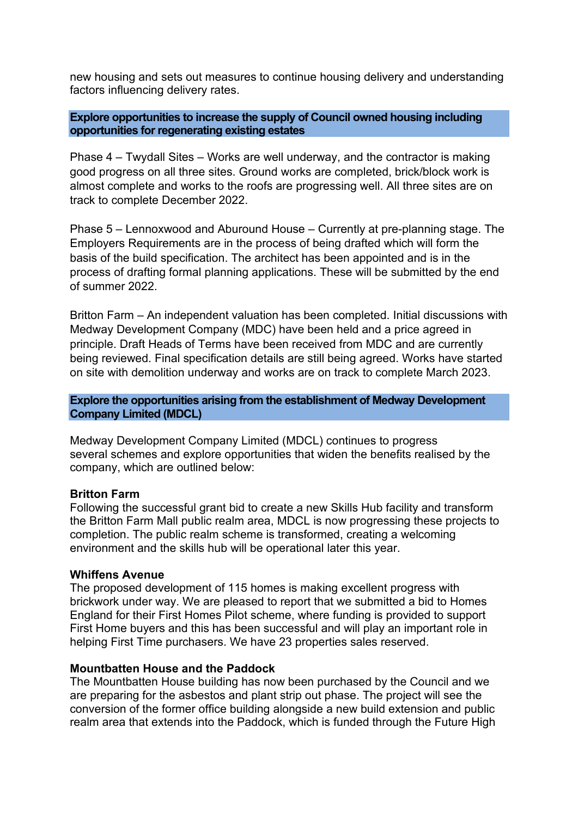new housing and sets out measures to continue housing delivery and understanding factors influencing delivery rates.

#### **Explore opportunities to increase the supply of Council owned housing including opportunities for regenerating existing estates**

Phase 4 – Twydall Sites – Works are well underway, and the contractor is making good progress on all three sites. Ground works are completed, brick/block work is almost complete and works to the roofs are progressing well. All three sites are on track to complete December 2022.

Phase 5 – Lennoxwood and Aburound House – Currently at pre-planning stage. The Employers Requirements are in the process of being drafted which will form the basis of the build specification. The architect has been appointed and is in the process of drafting formal planning applications. These will be submitted by the end of summer 2022.

Britton Farm – An independent valuation has been completed. Initial discussions with Medway Development Company (MDC) have been held and a price agreed in principle. Draft Heads of Terms have been received from MDC and are currently being reviewed. Final specification details are still being agreed. Works have started on site with demolition underway and works are on track to complete March 2023.

**Explore the opportunities arising from the establishment of Medway Development Company Limited (MDCL)**

Medway Development Company Limited (MDCL) continues to progress several schemes and explore opportunities that widen the benefits realised by the company, which are outlined below:

#### **Britton Farm**

Following the successful grant bid to create a new Skills Hub facility and transform the Britton Farm Mall public realm area, MDCL is now progressing these projects to completion. The public realm scheme is transformed, creating a welcoming environment and the skills hub will be operational later this year.

#### **Whiffens Avenue**

The proposed development of 115 homes is making excellent progress with brickwork under way. We are pleased to report that we submitted a bid to Homes England for their First Homes Pilot scheme, where funding is provided to support First Home buyers and this has been successful and will play an important role in helping First Time purchasers. We have 23 properties sales reserved.

#### **Mountbatten House and the Paddock**

The Mountbatten House building has now been purchased by the Council and we are preparing for the asbestos and plant strip out phase. The project will see the conversion of the former office building alongside a new build extension and public realm area that extends into the Paddock, which is funded through the Future High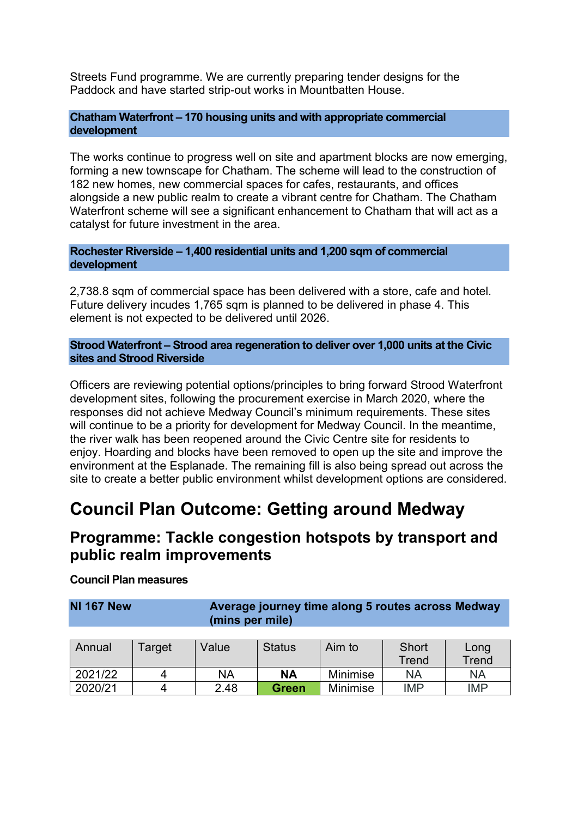Streets Fund programme. We are currently preparing tender designs for the Paddock and have started strip-out works in Mountbatten House.

#### **Chatham Waterfront – 170 housing units and with appropriate commercial development**

The works continue to progress well on site and apartment blocks are now emerging, forming a new townscape for Chatham. The scheme will lead to the construction of 182 new homes, new commercial spaces for cafes, restaurants, and offices alongside a new public realm to create a vibrant centre for Chatham. The Chatham Waterfront scheme will see a significant enhancement to Chatham that will act as a catalyst for future investment in the area.

**Rochester Riverside – 1,400 residential units and 1,200 sqm of commercial development** 

2,738.8 sqm of commercial space has been delivered with a store, cafe and hotel. Future delivery incudes 1,765 sqm is planned to be delivered in phase 4. This element is not expected to be delivered until 2026.

**Strood Waterfront – Strood area regeneration to deliver over 1,000 units at the Civic sites and Strood Riverside**

Officers are reviewing potential options/principles to bring forward Strood Waterfront development sites, following the procurement exercise in March 2020, where the responses did not achieve Medway Council's minimum requirements. These sites will continue to be a priority for development for Medway Council. In the meantime, the river walk has been reopened around the Civic Centre site for residents to enjoy. Hoarding and blocks have been removed to open up the site and improve the environment at the Esplanade. The remaining fill is also being spread out across the site to create a better public environment whilst development options are considered.

## **Council Plan Outcome: Getting around Medway**

### **Programme: Tackle congestion hotspots by transport and public realm improvements**

#### **Council Plan measures**

**NI 167 New Average journey time along 5 routes across Medway (mins per mile)**

| Annual  | Target | Value     | <b>Status</b> | Aim to          | Short<br>Trend | Long<br>Trend |
|---------|--------|-----------|---------------|-----------------|----------------|---------------|
| 2021/22 |        | <b>NA</b> | <b>NA</b>     | Minimise        | <b>NA</b>      | <b>NA</b>     |
| 2020/21 |        | 2.48      | <b>Green</b>  | <b>Minimise</b> | <b>IMP</b>     | <b>IMP</b>    |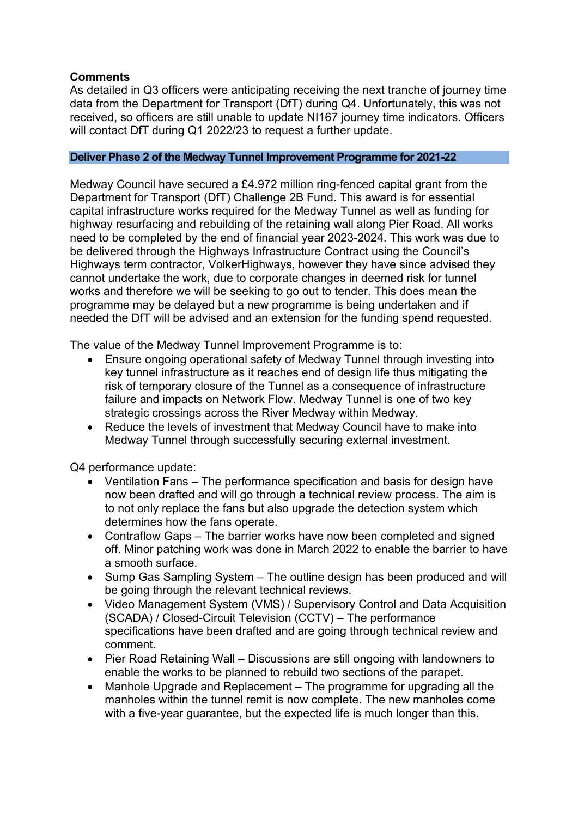#### **Comments**

As detailed in Q3 officers were anticipating receiving the next tranche of journey time data from the Department for Transport (DfT) during Q4. Unfortunately, this was not received, so officers are still unable to update NI167 journey time indicators. Officers will contact DfT during Q1 2022/23 to request a further update.

#### **Deliver Phase 2 of the Medway Tunnel Improvement Programme for 2021-22**

Medway Council have secured a £4.972 million ring-fenced capital grant from the Department for Transport (DfT) Challenge 2B Fund. This award is for essential capital infrastructure works required for the Medway Tunnel as well as funding for highway resurfacing and rebuilding of the retaining wall along Pier Road. All works need to be completed by the end of financial year 2023-2024. This work was due to be delivered through the Highways Infrastructure Contract using the Council's Highways term contractor, VolkerHighways, however they have since advised they cannot undertake the work, due to corporate changes in deemed risk for tunnel works and therefore we will be seeking to go out to tender. This does mean the programme may be delayed but a new programme is being undertaken and if needed the DfT will be advised and an extension for the funding spend requested.

The value of the Medway Tunnel Improvement Programme is to:

- Ensure ongoing operational safety of Medway Tunnel through investing into key tunnel infrastructure as it reaches end of design life thus mitigating the risk of temporary closure of the Tunnel as a consequence of infrastructure failure and impacts on Network Flow. Medway Tunnel is one of two key strategic crossings across the River Medway within Medway.
- Reduce the levels of investment that Medway Council have to make into Medway Tunnel through successfully securing external investment.

Q4 performance update:

- Ventilation Fans The performance specification and basis for design have now been drafted and will go through a technical review process. The aim is to not only replace the fans but also upgrade the detection system which determines how the fans operate.
- Contraflow Gaps The barrier works have now been completed and signed off. Minor patching work was done in March 2022 to enable the barrier to have a smooth surface.
- Sump Gas Sampling System The outline design has been produced and will be going through the relevant technical reviews.
- Video Management System (VMS) / Supervisory Control and Data Acquisition (SCADA) / Closed-Circuit Television (CCTV) – The performance specifications have been drafted and are going through technical review and comment.
- Pier Road Retaining Wall Discussions are still ongoing with landowners to enable the works to be planned to rebuild two sections of the parapet.
- Manhole Upgrade and Replacement The programme for upgrading all the manholes within the tunnel remit is now complete. The new manholes come with a five-year guarantee, but the expected life is much longer than this.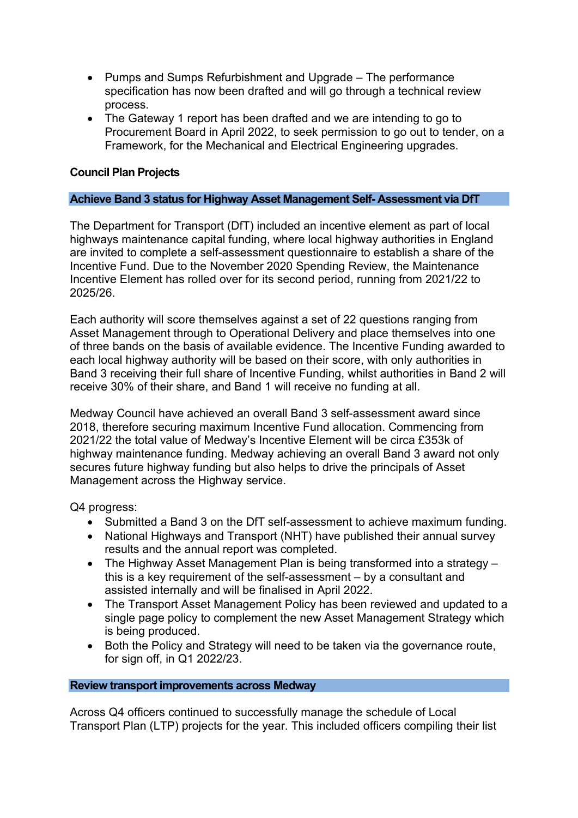- Pumps and Sumps Refurbishment and Upgrade The performance specification has now been drafted and will go through a technical review process.
- The Gateway 1 report has been drafted and we are intending to go to Procurement Board in April 2022, to seek permission to go out to tender, on a Framework, for the Mechanical and Electrical Engineering upgrades.

#### **Council Plan Projects**

#### **Achieve Band 3 status for Highway Asset Management Self- Assessment via DfT**

The Department for Transport (DfT) included an incentive element as part of local highways maintenance capital funding, where local highway authorities in England are invited to complete a self-assessment questionnaire to establish a share of the Incentive Fund. Due to the November 2020 Spending Review, the Maintenance Incentive Element has rolled over for its second period, running from 2021/22 to 2025/26.

Each authority will score themselves against a set of 22 questions ranging from Asset Management through to Operational Delivery and place themselves into one of three bands on the basis of available evidence. The Incentive Funding awarded to each local highway authority will be based on their score, with only authorities in Band 3 receiving their full share of Incentive Funding, whilst authorities in Band 2 will receive 30% of their share, and Band 1 will receive no funding at all.

Medway Council have achieved an overall Band 3 self-assessment award since 2018, therefore securing maximum Incentive Fund allocation. Commencing from 2021/22 the total value of Medway's Incentive Element will be circa £353k of highway maintenance funding. Medway achieving an overall Band 3 award not only secures future highway funding but also helps to drive the principals of Asset Management across the Highway service.

Q4 progress:

- Submitted a Band 3 on the DfT self-assessment to achieve maximum funding.
- National Highways and Transport (NHT) have published their annual survey results and the annual report was completed.
- The Highway Asset Management Plan is being transformed into a strategy this is a key requirement of the self-assessment – by a consultant and assisted internally and will be finalised in April 2022.
- The Transport Asset Management Policy has been reviewed and updated to a single page policy to complement the new Asset Management Strategy which is being produced.
- Both the Policy and Strategy will need to be taken via the governance route, for sign off, in Q1 2022/23.

#### **Review transport improvements across Medway**

Across Q4 officers continued to successfully manage the schedule of Local Transport Plan (LTP) projects for the year. This included officers compiling their list